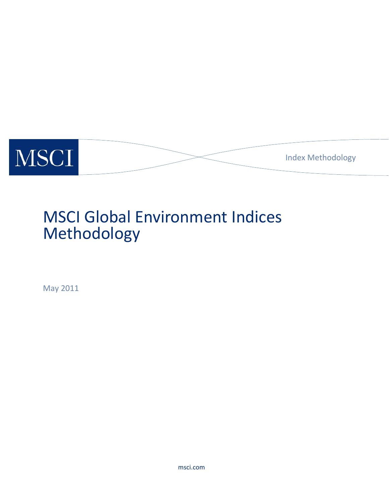

# MSCI Global Environment Indices Methodology

May 2011

msci.com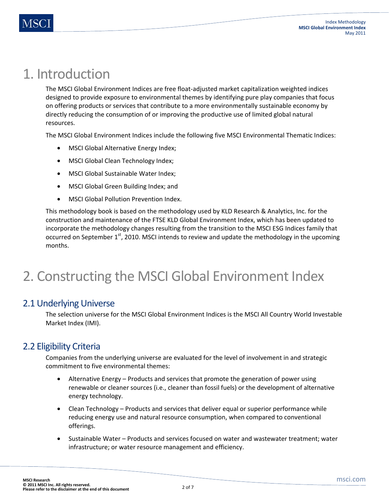## 1. Introduction

The MSCI Global Environment Indices are free float-adjusted market capitalization weighted indices designed to provide exposure to environmental themes by identifying pure play companies that focus on offering products or services that contribute to a more environmentally sustainable economy by directly reducing the consumption of or improving the productive use of limited global natural resources.

The MSCI Global Environment Indices include the following five MSCI Environmental Thematic Indices:

- MSCI Global Alternative Energy Index;
- MSCI Global Clean Technology Index;
- MSCI Global Sustainable Water Index;
- MSCI Global Green Building Index; and
- MSCI Global Pollution Prevention Index.

This methodology book is based on the methodology used by KLD Research & Analytics, Inc. for the construction and maintenance of the FTSE KLD Global Environment Index, which has been updated to incorporate the methodology changes resulting from the transition to the MSCI ESG Indices family that occurred on September  $1<sup>st</sup>$ , 2010. MSCI intends to review and update the methodology in the upcoming months.

## 2. Constructing the MSCI Global Environment Index

### 2.1 Underlying Universe

The selection universe for the MSCI Global Environment Indices is the MSCI All Country World Investable Market Index (IMI).

## 2.2 Eligibility Criteria

Companies from the underlying universe are evaluated for the level of involvement in and strategic commitment to five environmental themes:

- Alternative Energy Products and services that promote the generation of power using renewable or cleaner sources (i.e., cleaner than fossil fuels) or the development of alternative energy technology.
- Clean Technology Products and services that deliver equal or superior performance while reducing energy use and natural resource consumption, when compared to conventional offerings.
- Sustainable Water Products and services focused on water and wastewater treatment; water infrastructure; or water resource management and efficiency.

2 of 7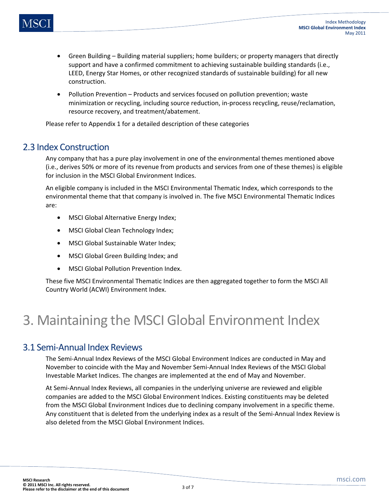- Green Building Building material suppliers; home builders; or property managers that directly support and have a confirmed commitment to achieving sustainable building standards (i.e., LEED, Energy Star Homes, or other recognized standards of sustainable building) for all new construction.
- Pollution Prevention Products and services focused on pollution prevention; waste minimization or recycling, including source reduction, in-process recycling, reuse/reclamation, resource recovery, and treatment/abatement.

Please refer to Appendix 1 for a detailed description of these categories

### 2.3 Index Construction

Any company that has a pure play involvement in one of the environmental themes mentioned above (i.e., derives 50% or more of its revenue from products and services from one of these themes) is eligible for inclusion in the MSCI Global Environment Indices.

An eligible company is included in the MSCI Environmental Thematic Index, which corresponds to the environmental theme that that company is involved in. The five MSCI Environmental Thematic Indices are:

- MSCI Global Alternative Energy Index;
- MSCI Global Clean Technology Index;
- MSCI Global Sustainable Water Index;
- MSCI Global Green Building Index; and
- MSCI Global Pollution Prevention Index.

These five MSCI Environmental Thematic Indices are then aggregated together to form the MSCI All Country World (ACWI) Environment Index.

## 3. Maintaining the MSCI Global Environment Index

### 3.1 Semi-Annual Index Reviews

The Semi-Annual Index Reviews of the MSCI Global Environment Indices are conducted in May and November to coincide with the May and November Semi-Annual Index Reviews of the MSCI Global Investable Market Indices. The changes are implemented at the end of May and November.

At Semi-Annual Index Reviews, all companies in the underlying universe are reviewed and eligible companies are added to the MSCI Global Environment Indices. Existing constituents may be deleted from the MSCI Global Environment Indices due to declining company involvement in a specific theme. Any constituent that is deleted from the underlying index as a result of the Semi-Annual Index Review is also deleted from the MSCI Global Environment Indices.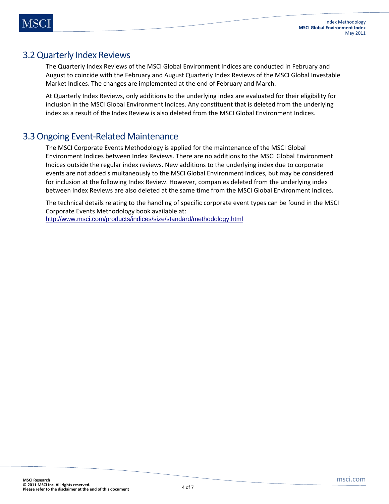## 3.2 Quarterly Index Reviews

The Quarterly Index Reviews of the MSCI Global Environment Indices are conducted in February and August to coincide with the February and August Quarterly Index Reviews of the MSCI Global Investable Market Indices. The changes are implemented at the end of February and March.

At Quarterly Index Reviews, only additions to the underlying index are evaluated for their eligibility for inclusion in the MSCI Global Environment Indices. Any constituent that is deleted from the underlying index as a result of the Index Review is also deleted from the MSCI Global Environment Indices.

## 3.3 Ongoing Event-Related Maintenance

The MSCI Corporate Events Methodology is applied for the maintenance of the MSCI Global Environment Indices between Index Reviews. There are no additions to the MSCI Global Environment Indices outside the regular index reviews. New additions to the underlying index due to corporate events are not added simultaneously to the MSCI Global Environment Indices, but may be considered for inclusion at the following Index Review. However, companies deleted from the underlying index between Index Reviews are also deleted at the same time from the MSCI Global Environment Indices.

The technical details relating to the handling of specific corporate event types can be found in the MSCI Corporate Events Methodology book available at: http://www.msci.com/products/indices/size/standard/methodology.html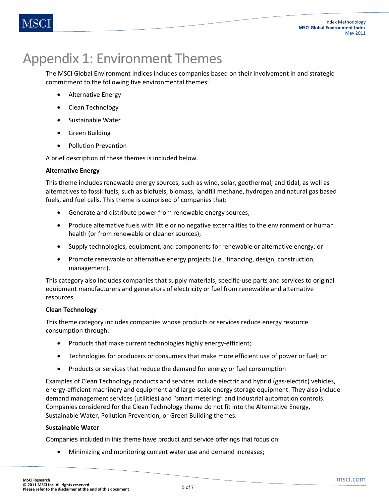## Appendix 1: Environment Themes

The MSCI Global Environment Indices includes companies based on their involvement in and strategic commitment to the following five environmental themes:

- Alternative Energy
- Clean Technology
- Sustainable Water
- Green Building
- Pollution Prevention

A brief description of these themes is included below.

#### **Alternative Energy**

This theme includes renewable energy sources, such as wind, solar, geothermal, and tidal, as well as alternatives to fossil fuels, such as biofuels, biomass, landfill methane, hydrogen and natural gas based fuels, and fuel cells. This theme is comprised of companies that:

- Generate and distribute power from renewable energy sources;
- Produce alternative fuels with little or no negative externalities to the environment or human health (or from renewable or cleaner sources);
- Supply technologies, equipment, and components for renewable or alternative energy; or
- Promote renewable or alternative energy projects (i.e., financing, design, construction, management).

This category also includes companies that supply materials, specific-use parts and services to original equipment manufacturers and generators of electricity or fuel from renewable and alternative resources.

### **Clean Technology**

This theme category includes companies whose products or services reduce energy resource consumption through:

- Products that make current technologies highly energy-efficient;
- Technologies for producers or consumers that make more efficient use of power or fuel; or
- Products or services that reduce the demand for energy or fuel consumption

Examples of Clean Technology products and services include electric and hybrid (gas-electric) vehicles, energy-efficient machinery and equipment and large-scale energy storage equipment. They also include demand management services (utilities) and "smart metering" and industrial automation controls. Companies considered for the Clean Technology theme do not fit into the Alternative Energy, Sustainable Water, Pollution Prevention, or Green Building themes.

#### **Sustainable Water**

Companies included in this theme have product and service offerings that focus on:

• Minimizing and monitoring current water use and demand increases;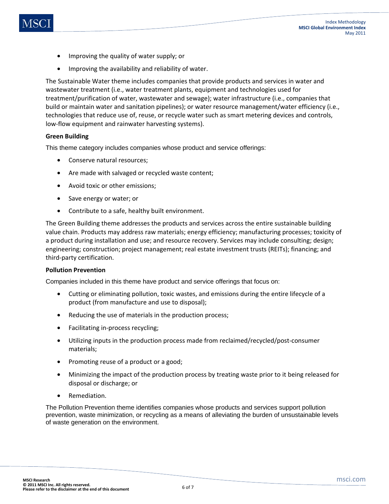- Improving the quality of water supply; or
- Improving the availability and reliability of water.

The Sustainable Water theme includes companies that provide products and services in water and wastewater treatment (i.e., water treatment plants, equipment and technologies used for treatment/purification of water, wastewater and sewage); water infrastructure (i.e., companies that build or maintain water and sanitation pipelines); or water resource management/water efficiency (i.e., technologies that reduce use of, reuse, or recycle water such as smart metering devices and controls, low-flow equipment and rainwater harvesting systems).

#### **Green Building**

This theme category includes companies whose product and service offerings:

- Conserve natural resources;
- Are made with salvaged or recycled waste content;
- Avoid toxic or other emissions;
- Save energy or water; or
- Contribute to a safe, healthy built environment.

The Green Building theme addresses the products and services across the entire sustainable building value chain. Products may address raw materials; energy efficiency; manufacturing processes; toxicity of a product during installation and use; and resource recovery. Services may include consulting; design; engineering; construction; project management; real estate investment trusts (REITs); financing; and third-party certification.

#### **Pollution Prevention**

Companies included in this theme have product and service offerings that focus on:

- Cutting or eliminating pollution, toxic wastes, and emissions during the entire lifecycle of a product (from manufacture and use to disposal);
- Reducing the use of materials in the production process;
- Facilitating in-process recycling;
- Utilizing inputs in the production process made from reclaimed/recycled/post-consumer materials;
- Promoting reuse of a product or a good;
- Minimizing the impact of the production process by treating waste prior to it being released for disposal or discharge; or
- Remediation.

The Pollution Prevention theme identifies companies whose products and services support pollution prevention, waste minimization, or recycling as a means of alleviating the burden of unsustainable levels of waste generation on the environment.